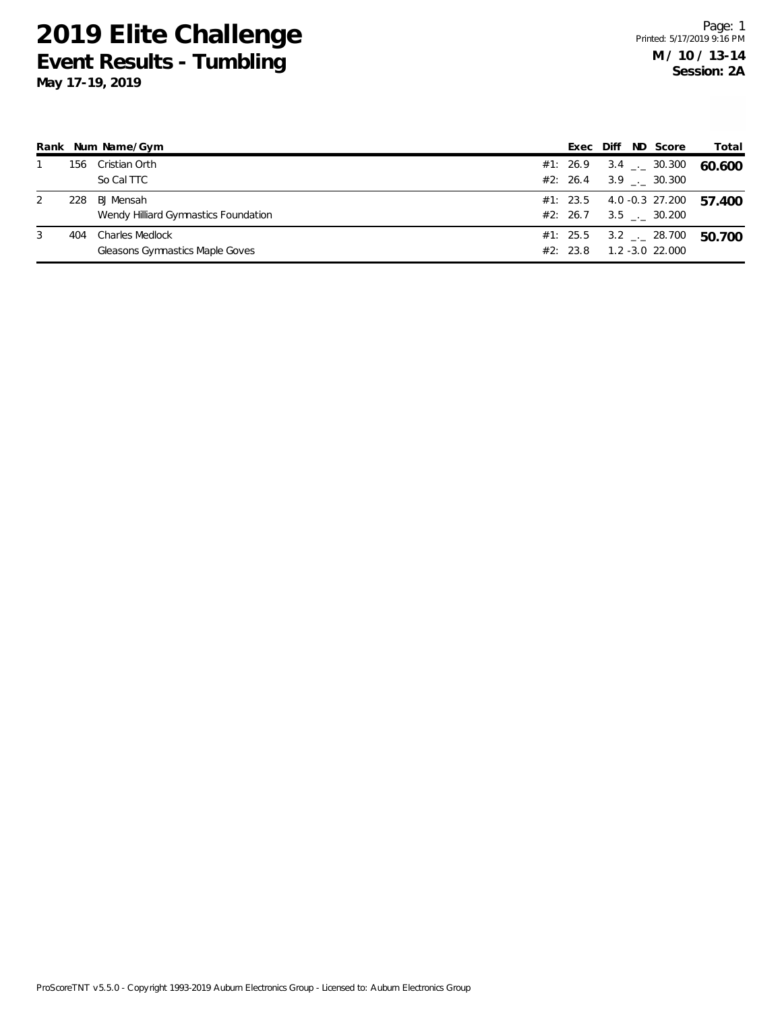## **2019 Elite Challenge Event Results - Tumbling May 17-19, 2019**

| Rank |     | Num Name/Gym                         | Exec     | Diff | ND Score                     | Total  |
|------|-----|--------------------------------------|----------|------|------------------------------|--------|
|      | 156 | Cristian Orth                        | #1: 26.9 |      | $3.4$ $_{\leftarrow}$ 30.300 | 60.600 |
|      |     | So Cal TTC                           | #2: 26.4 |      | 3.9 . 30.300                 |        |
| 2    | 228 | <b>BJ</b> Mensah                     | #1: 23.5 |      | 4.0 -0.3 27.200              | 57.400 |
|      |     | Wendy Hilliard Gymnastics Foundation | #2: 26.7 |      | 3.5 . 30.200                 |        |
| 3    | 404 | Charles Medlock                      | #1: 25.5 |      | 3.2 $\sim$ 28.700            | 50.700 |
|      |     | Gleasons Gymnastics Maple Goves      | #2: 23.8 |      | $1.2 - 3.0$ 22.000           |        |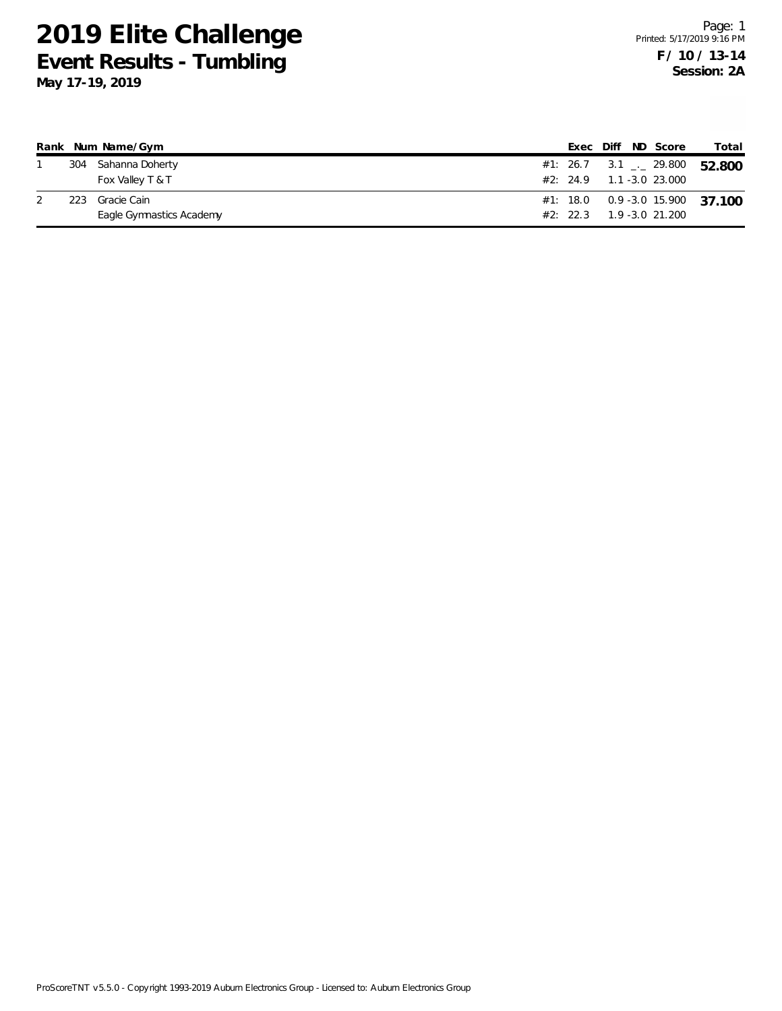## **2019 Elite Challenge Event Results - Tumbling**

**May 17-19, 2019**

|      | Rank Num Name/Gym        |  |  | Exec Diff ND Score                       | Total                                    |
|------|--------------------------|--|--|------------------------------------------|------------------------------------------|
|      | 304 Sahanna Doherty      |  |  |                                          | #1: 26.7 3.1 $\frac{1}{2}$ 29.800 52.800 |
|      | Fox Valley T & T         |  |  | $#2: 24.9 1.1 - 3.0 23.000$              |                                          |
| 223. | Gracie Cain              |  |  |                                          | #1: 18.0  0.9 -3.0 15.900  37 100        |
|      | Eagle Gymnastics Academy |  |  | $#2: 22.3 \qquad 1.9 - 3.0 \quad 21.200$ |                                          |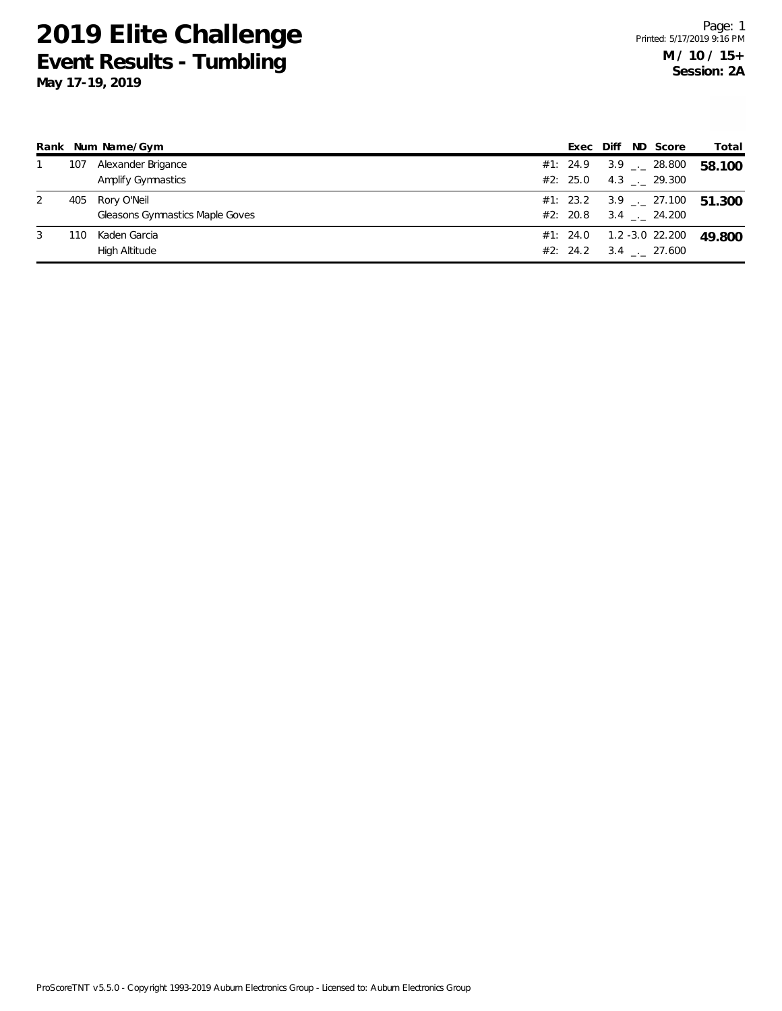## **2019 Elite Challenge Event Results - Tumbling May 17-19, 2019**

|   |     | Rank Num Name/Gym               | Exec Diff | ND Score                                 | Total  |
|---|-----|---------------------------------|-----------|------------------------------------------|--------|
|   | 107 | Alexander Brigance              |           | #1: 24.9 3.9 $\frac{1}{2}$ 28.800        | 58.100 |
|   |     | Amplify Gymnastics              |           | #2: 25.0 $4.3$ $\ldots$ 29.300           |        |
| 2 | 405 | Rory O'Neil                     |           | #1: 23.2 3.9 $\frac{1}{2}$ 27.100 51,300 |        |
|   |     | Gleasons Gymnastics Maple Goves |           | $#2: 20.8$ 3.4 . 24.200                  |        |
| 3 | 110 | Kaden Garcia                    |           | $#1: 24.0 1.2 -3.0 22.200$               | 49.800 |
|   |     | High Altitude                   | #2: 24.2  | $3.4$ $_{\leftarrow}$ 27.600             |        |